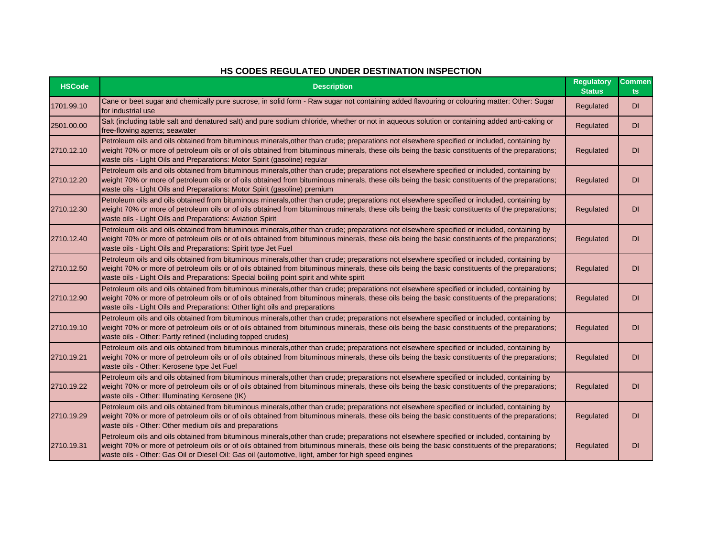## **HS CODES REGULATED UNDER DESTINATION INSPECTION**

| <b>HSCode</b> | <b>Description</b>                                                                                                                                                                                                                                                                                                                                                                                     | <b>Regulatory</b><br><b>Status</b> | <b>Commen</b><br><b>ts</b> |
|---------------|--------------------------------------------------------------------------------------------------------------------------------------------------------------------------------------------------------------------------------------------------------------------------------------------------------------------------------------------------------------------------------------------------------|------------------------------------|----------------------------|
| 1701.99.10    | Cane or beet sugar and chemically pure sucrose, in solid form - Raw sugar not containing added flavouring or colouring matter: Other: Sugar<br>for industrial use                                                                                                                                                                                                                                      | Regulated                          | DI.                        |
| 2501.00.00    | Salt (including table salt and denatured salt) and pure sodium chloride, whether or not in aqueous solution or containing added anti-caking or<br>free-flowing agents; seawater                                                                                                                                                                                                                        | Regulated                          | DI                         |
| 2710.12.10    | Petroleum oils and oils obtained from bituminous minerals, other than crude; preparations not elsewhere specified or included, containing by<br>weight 70% or more of petroleum oils or of oils obtained from bituminous minerals, these oils being the basic constituents of the preparations;<br>waste oils - Light Oils and Preparations: Motor Spirit (gasoline) regular                           | Regulated                          | DI                         |
| 2710.12.20    | Petroleum oils and oils obtained from bituminous minerals, other than crude; preparations not elsewhere specified or included, containing by<br>weight 70% or more of petroleum oils or of oils obtained from bituminous minerals, these oils being the basic constituents of the preparations;<br>waste oils - Light Oils and Preparations: Motor Spirit (gasoline) premium                           | Regulated                          | DI                         |
| 2710.12.30    | Petroleum oils and oils obtained from bituminous minerals, other than crude; preparations not elsewhere specified or included, containing by<br>weight 70% or more of petroleum oils or of oils obtained from bituminous minerals, these oils being the basic constituents of the preparations;<br>waste oils - Light Oils and Preparations: Aviation Spirit                                           | Regulated                          | DI                         |
| 2710.12.40    | Petroleum oils and oils obtained from bituminous minerals, other than crude; preparations not elsewhere specified or included, containing by<br>weight 70% or more of petroleum oils or of oils obtained from bituminous minerals, these oils being the basic constituents of the preparations;<br>waste oils - Light Oils and Preparations: Spirit type Jet Fuel                                      | Regulated                          | <b>DI</b>                  |
| 2710.12.50    | Petroleum oils and oils obtained from bituminous minerals, other than crude; preparations not elsewhere specified or included, containing by<br>weight 70% or more of petroleum oils or of oils obtained from bituminous minerals, these oils being the basic constituents of the preparations;<br>waste oils - Light Oils and Preparations: Special boiling point spirit and white spirit             | Regulated                          | DI                         |
| 2710.12.90    | Petroleum oils and oils obtained from bituminous minerals, other than crude; preparations not elsewhere specified or included, containing by<br>weight 70% or more of petroleum oils or of oils obtained from bituminous minerals, these oils being the basic constituents of the preparations;<br>waste oils - Light Oils and Preparations: Other light oils and preparations                         | Regulated                          | DI                         |
| 2710.19.10    | Petroleum oils and oils obtained from bituminous minerals, other than crude; preparations not elsewhere specified or included, containing by<br>weight 70% or more of petroleum oils or of oils obtained from bituminous minerals, these oils being the basic constituents of the preparations;<br>waste oils - Other: Partly refined (including topped crudes)                                        | Regulated                          | DI                         |
| 2710.19.21    | Petroleum oils and oils obtained from bituminous minerals, other than crude; preparations not elsewhere specified or included, containing by<br>weight 70% or more of petroleum oils or of oils obtained from bituminous minerals, these oils being the basic constituents of the preparations;<br>waste oils - Other: Kerosene type Jet Fuel                                                          | Regulated                          | DI                         |
| 2710.19.22    | Petroleum oils and oils obtained from bituminous minerals, other than crude; preparations not elsewhere specified or included, containing by<br>weight 70% or more of petroleum oils or of oils obtained from bituminous minerals, these oils being the basic constituents of the preparations;<br>waste oils - Other: Illuminating Kerosene (IK)                                                      | Regulated                          | DI                         |
| 2710.19.29    | Petroleum oils and oils obtained from bituminous minerals, other than crude; preparations not elsewhere specified or included, containing by<br>weight 70% or more of petroleum oils or of oils obtained from bituminous minerals, these oils being the basic constituents of the preparations;<br>waste oils - Other: Other medium oils and preparations                                              | Regulated                          | DI                         |
| 2710.19.31    | Petroleum oils and oils obtained from bituminous minerals, other than crude; preparations not elsewhere specified or included, containing by<br>weight 70% or more of petroleum oils or of oils obtained from bituminous minerals, these oils being the basic constituents of the preparations;<br>waste oils - Other: Gas Oil or Diesel Oil: Gas oil (automotive, light, amber for high speed engines | Regulated                          | DI                         |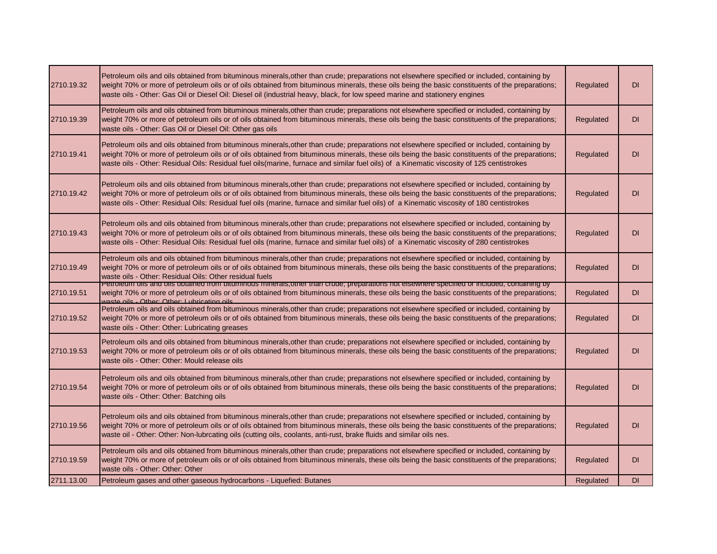| 2710.19.32 | Petroleum oils and oils obtained from bituminous minerals, other than crude; preparations not elsewhere specified or included, containing by<br>weight 70% or more of petroleum oils or of oils obtained from bituminous minerals, these oils being the basic constituents of the preparations;<br>waste oils - Other: Gas Oil or Diesel Oil: Diesel oil (industrial heavy, black, for low speed marine and stationery engines                | Regulated | <b>DI</b> |
|------------|-----------------------------------------------------------------------------------------------------------------------------------------------------------------------------------------------------------------------------------------------------------------------------------------------------------------------------------------------------------------------------------------------------------------------------------------------|-----------|-----------|
| 2710.19.39 | Petroleum oils and oils obtained from bituminous minerals, other than crude; preparations not elsewhere specified or included, containing by<br>weight 70% or more of petroleum oils or of oils obtained from bituminous minerals, these oils being the basic constituents of the preparations;<br>waste oils - Other: Gas Oil or Diesel Oil: Other gas oils                                                                                  | Regulated | <b>DI</b> |
| 2710.19.41 | Petroleum oils and oils obtained from bituminous minerals, other than crude; preparations not elsewhere specified or included, containing by<br>weight 70% or more of petroleum oils or of oils obtained from bituminous minerals, these oils being the basic constituents of the preparations;<br>waste oils - Other: Residual Oils: Residual fuel oils(marine, furnace and similar fuel oils) of a Kinematic viscosity of 125 centistrokes  | Regulated | <b>DI</b> |
| 2710.19.42 | Petroleum oils and oils obtained from bituminous minerals, other than crude; preparations not elsewhere specified or included, containing by<br>weight 70% or more of petroleum oils or of oils obtained from bituminous minerals, these oils being the basic constituents of the preparations;<br>waste oils - Other: Residual Oils: Residual fuel oils (marine, furnace and similar fuel oils) of a Kinematic viscosity of 180 centistrokes | Regulated | <b>DI</b> |
| 2710.19.43 | Petroleum oils and oils obtained from bituminous minerals, other than crude; preparations not elsewhere specified or included, containing by<br>weight 70% or more of petroleum oils or of oils obtained from bituminous minerals, these oils being the basic constituents of the preparations;<br>waste oils - Other: Residual Oils: Residual fuel oils (marine, furnace and similar fuel oils) of a Kinematic viscosity of 280 centistrokes | Regulated | DI        |
| 2710.19.49 | Petroleum oils and oils obtained from bituminous minerals, other than crude; preparations not elsewhere specified or included, containing by<br>weight 70% or more of petroleum oils or of oils obtained from bituminous minerals, these oils being the basic constituents of the preparations;<br>waste oils - Other: Residual Oils: Other residual fuels                                                                                    | Regulated | <b>DI</b> |
| 2710.19.51 | Petroleum ons and ons obtained from bituminous minerals,other than crude; preparations not eisewhere specified or included, containing by<br>weight 70% or more of petroleum oils or of oils obtained from bituminous minerals, these oils being the basic constituents of the preparations;<br>waste oils Other Other Lubricating oils                                                                                                       | Regulated | <b>DI</b> |
| 2710.19.52 | Petroleum oils and oils obtained from bituminous minerals, other than crude; preparations not elsewhere specified or included, containing by<br>weight 70% or more of petroleum oils or of oils obtained from bituminous minerals, these oils being the basic constituents of the preparations;<br>waste oils - Other: Other: Lubricating greases                                                                                             | Regulated | DI        |
| 2710.19.53 | Petroleum oils and oils obtained from bituminous minerals, other than crude; preparations not elsewhere specified or included, containing by<br>weight 70% or more of petroleum oils or of oils obtained from bituminous minerals, these oils being the basic constituents of the preparations;<br>waste oils - Other: Other: Mould release oils                                                                                              | Regulated | DI        |
| 2710.19.54 | Petroleum oils and oils obtained from bituminous minerals, other than crude; preparations not elsewhere specified or included, containing by<br>weight 70% or more of petroleum oils or of oils obtained from bituminous minerals, these oils being the basic constituents of the preparations;<br>waste oils - Other: Other: Batching oils                                                                                                   | Regulated | <b>DI</b> |
| 2710.19.56 | Petroleum oils and oils obtained from bituminous minerals, other than crude; preparations not elsewhere specified or included, containing by<br>weight 70% or more of petroleum oils or of oils obtained from bituminous minerals, these oils being the basic constituents of the preparations;<br>waste oil - Other: Other: Non-lubrcating oils (cutting oils, coolants, anti-rust, brake fluids and similar oils nes.                       | Regulated | <b>DI</b> |
| 2710.19.59 | Petroleum oils and oils obtained from bituminous minerals, other than crude; preparations not elsewhere specified or included, containing by<br>weight 70% or more of petroleum oils or of oils obtained from bituminous minerals, these oils being the basic constituents of the preparations;<br>waste oils - Other: Other: Other                                                                                                           | Regulated | <b>DI</b> |
| 2711.13.00 | Petroleum gases and other gaseous hydrocarbons - Liquefied: Butanes                                                                                                                                                                                                                                                                                                                                                                           | Regulated | <b>DI</b> |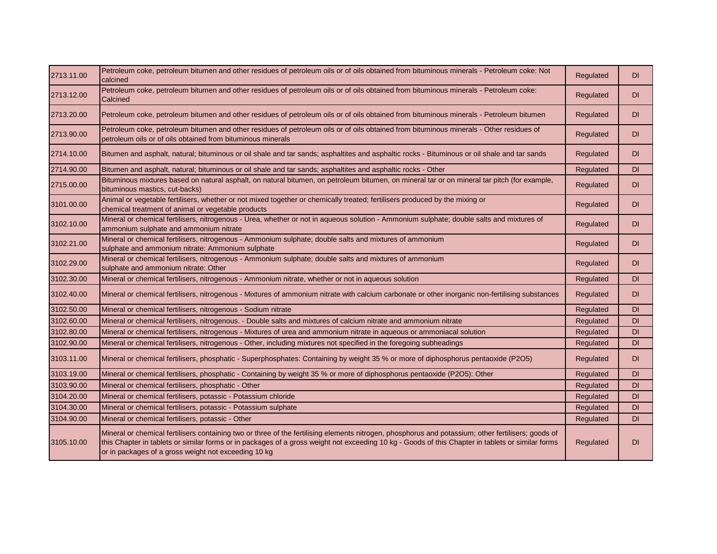| 2713.11.00 | Petroleum coke, petroleum bitumen and other residues of petroleum oils or of oils obtained from bituminous minerals - Petroleum coke: Not<br>calcined                                                                                                                                                                                                            | Regulated | <b>DI</b> |
|------------|------------------------------------------------------------------------------------------------------------------------------------------------------------------------------------------------------------------------------------------------------------------------------------------------------------------------------------------------------------------|-----------|-----------|
| 2713.12.00 | Petroleum coke, petroleum bitumen and other residues of petroleum oils or of oils obtained from bituminous minerals - Petroleum coke:<br>Calcined                                                                                                                                                                                                                | Regulated | <b>DI</b> |
| 2713.20.00 | Petroleum coke, petroleum bitumen and other residues of petroleum oils or of oils obtained from bituminous minerals - Petroleum bitumen                                                                                                                                                                                                                          | Regulated | <b>DI</b> |
| 2713.90.00 | Petroleum coke, petroleum bitumen and other residues of petroleum oils or of oils obtained from bituminous minerals - Other residues of<br>petroleum oils or of oils obtained from bituminous minerals                                                                                                                                                           | Regulated | <b>DI</b> |
| 2714.10.00 | Bitumen and asphalt, natural; bituminous or oil shale and tar sands; asphaltites and asphaltic rocks - Bituminous or oil shale and tar sands                                                                                                                                                                                                                     | Regulated | <b>DI</b> |
| 2714.90.00 | Bitumen and asphalt, natural; bituminous or oil shale and tar sands; asphaltites and asphaltic rocks - Other                                                                                                                                                                                                                                                     | Regulated | <b>DI</b> |
| 2715.00.00 | Bituminous mixtures based on natural asphalt, on natural bitumen, on petroleum bitumen, on mineral tar or on mineral tar pitch (for example,<br>bituminous mastics, cut-backs)                                                                                                                                                                                   | Regulated | <b>DI</b> |
| 3101.00.00 | Animal or vegetable fertilisers, whether or not mixed together or chemically treated; fertilisers produced by the mixing or<br>chemical treatment of animal or vegetable products                                                                                                                                                                                | Regulated | <b>DI</b> |
| 3102.10.00 | Mineral or chemical fertilisers, nitrogenous - Urea, whether or not in aqueous solution - Ammonium sulphate; double salts and mixtures of<br>ammonium sulphate and ammonium nitrate                                                                                                                                                                              | Regulated | <b>DI</b> |
| 3102.21.00 | Mineral or chemical fertilisers, nitrogenous - Ammonium sulphate; double salts and mixtures of ammonium<br>sulphate and ammonium nitrate: Ammonium sulphate                                                                                                                                                                                                      | Regulated | DI.       |
| 3102.29.00 | Mineral or chemical fertilisers, nitrogenous - Ammonium sulphate; double salts and mixtures of ammonium<br>sulphate and ammonium nitrate: Other                                                                                                                                                                                                                  | Regulated | <b>DI</b> |
| 3102.30.00 | Mineral or chemical fertilisers, nitrogenous - Ammonium nitrate, whether or not in aqueous solution                                                                                                                                                                                                                                                              | Regulated | <b>DI</b> |
| 3102.40.00 | Mineral or chemical fertilisers, nitrogenous - Mixtures of ammonium nitrate with calcium carbonate or other inorganic non-fertilising substances                                                                                                                                                                                                                 | Regulated | <b>DI</b> |
| 3102.50.00 | Mineral or chemical fertilisers, nitrogenous - Sodium nitrate                                                                                                                                                                                                                                                                                                    | Regulated | <b>DI</b> |
| 3102.60.00 | Mineral or chemical fertilisers, nitrogenous. - Double salts and mixtures of calcium nitrate and ammonium nitrate                                                                                                                                                                                                                                                | Regulated | DI        |
| 3102.80.00 | Mineral or chemical fertilisers, nitrogenous - Mixtures of urea and ammonium nitrate in aqueous or ammoniacal solution                                                                                                                                                                                                                                           | Regulated | DI        |
| 3102.90.00 | Mineral or chemical fertilisers, nitrogenous - Other, including mixtures not specified in the foregoing subheadings                                                                                                                                                                                                                                              | Regulated | DI        |
| 3103.11.00 | Mineral or chemical fertilisers, phosphatic - Superphosphates: Containing by weight 35 % or more of diphosphorus pentaoxide (P2O5)                                                                                                                                                                                                                               | Regulated | <b>DI</b> |
| 3103.19.00 | Mineral or chemical fertilisers, phosphatic - Containing by weight 35 % or more of diphosphorus pentaoxide (P2O5): Other                                                                                                                                                                                                                                         | Regulated | <b>DI</b> |
| 3103.90.00 | Mineral or chemical fertilisers, phosphatic - Other                                                                                                                                                                                                                                                                                                              | Regulated | DI        |
| 3104.20.00 | Mineral or chemical fertilisers, potassic - Potassium chloride                                                                                                                                                                                                                                                                                                   | Regulated | DI        |
| 3104.30.00 | Mineral or chemical fertilisers, potassic - Potassium sulphate                                                                                                                                                                                                                                                                                                   | Regulated | DI        |
| 3104.90.00 | Mineral or chemical fertilisers, potassic - Other                                                                                                                                                                                                                                                                                                                | Regulated | <b>DI</b> |
| 3105.10.00 | Mineral or chemical fertilisers containing two or three of the fertilising elements nitrogen, phosphorus and potassium; other fertilisers; goods of<br>this Chapter in tablets or similar forms or in packages of a gross weight not exceeding 10 kg - Goods of this Chapter in tablets or similar forms<br>or in packages of a gross weight not exceeding 10 kg | Regulated | <b>DI</b> |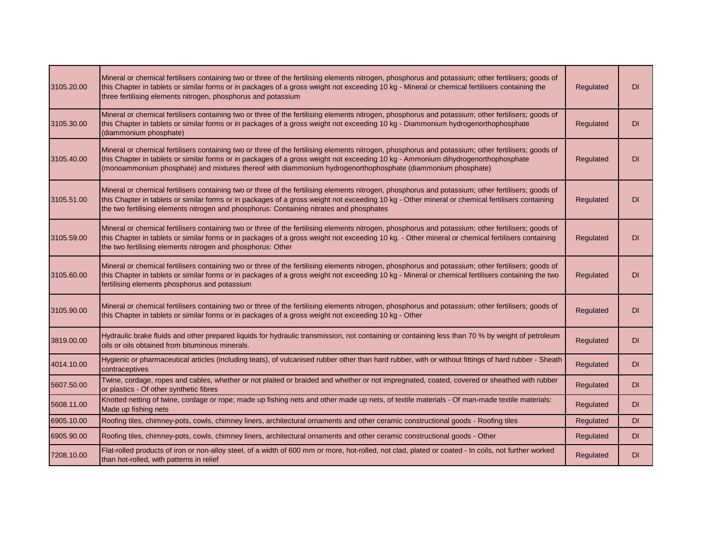| 3105.20.00 | Mineral or chemical fertilisers containing two or three of the fertilising elements nitrogen, phosphorus and potassium; other fertilisers; goods of<br>this Chapter in tablets or similar forms or in packages of a gross weight not exceeding 10 kg - Mineral or chemical fertilisers containing the<br>three fertilising elements nitrogen, phosphorus and potassium                                  | Regulated | <b>DI</b> |
|------------|---------------------------------------------------------------------------------------------------------------------------------------------------------------------------------------------------------------------------------------------------------------------------------------------------------------------------------------------------------------------------------------------------------|-----------|-----------|
| 3105.30.00 | Mineral or chemical fertilisers containing two or three of the fertilising elements nitrogen, phosphorus and potassium; other fertilisers; goods of<br>this Chapter in tablets or similar forms or in packages of a gross weight not exceeding 10 kg - Diammonium hydrogenorthophosphate<br>(diammonium phosphate)                                                                                      | Regulated | <b>DI</b> |
| 3105.40.00 | Mineral or chemical fertilisers containing two or three of the fertilising elements nitrogen, phosphorus and potassium; other fertilisers; goods of<br>this Chapter in tablets or similar forms or in packages of a gross weight not exceeding 10 kg - Ammonium dihydrogenorthophosphate<br>(monoammonium phosphate) and mixtures thereof with diammonium hydrogenorthophosphate (diammonium phosphate) | Regulated | <b>DI</b> |
| 3105.51.00 | Mineral or chemical fertilisers containing two or three of the fertilising elements nitrogen, phosphorus and potassium; other fertilisers; goods of<br>this Chapter in tablets or similar forms or in packages of a gross weight not exceeding 10 kg - Other mineral or chemical fertilisers containing<br>the two fertilising elements nitrogen and phosphorus: Containing nitrates and phosphates     | Regulated | <b>DI</b> |
| 3105.59.00 | Mineral or chemical fertilisers containing two or three of the fertilising elements nitrogen, phosphorus and potassium; other fertilisers; goods of<br>this Chapter in tablets or similar forms or in packages of a gross weight not exceeding 10 kg. - Other mineral or chemical fertilisers containing<br>the two fertilising elements nitrogen and phosphorus: Other                                 | Regulated | <b>DI</b> |
| 3105.60.00 | Mineral or chemical fertilisers containing two or three of the fertilising elements nitrogen, phosphorus and potassium; other fertilisers; goods of<br>this Chapter in tablets or similar forms or in packages of a gross weight not exceeding 10 kg - Mineral or chemical fertilisers containing the two<br>fertilising elements phosphorus and potassium                                              | Regulated | <b>DI</b> |
| 3105.90.00 | Mineral or chemical fertilisers containing two or three of the fertilising elements nitrogen, phosphorus and potassium; other fertilisers; goods of<br>this Chapter in tablets or similar forms or in packages of a gross weight not exceeding 10 kg - Other                                                                                                                                            | Regulated | <b>DI</b> |
| 3819.00.00 | Hydraulic brake fluids and other prepared liquids for hydraulic transmission, not containing or containing less than 70 % by weight of petroleum<br>oils or oils obtained from bituminous minerals.                                                                                                                                                                                                     | Regulated | <b>DI</b> |
| 4014.10.00 | Hygienic or pharmaceutical articles (including teats), of vulcanised rubber other than hard rubber, with or without fittings of hard rubber - Sheath<br>contraceptives                                                                                                                                                                                                                                  | Regulated | <b>DI</b> |
| 5607.50.00 | Twine, cordage, ropes and cables, whether or not plaited or braided and whether or not impregnated, coated, covered or sheathed with rubber<br>or plastics - Of other synthetic fibres                                                                                                                                                                                                                  | Regulated | <b>DI</b> |
| 5608.11.00 | Knotted netting of twine, cordage or rope; made up fishing nets and other made up nets, of textile materials - Of man-made textile materials:<br>Made up fishing nets                                                                                                                                                                                                                                   | Regulated | <b>DI</b> |
| 6905.10.00 | Roofing tiles, chimney-pots, cowls, chimney liners, architectural ornaments and other ceramic constructional goods - Roofing tiles                                                                                                                                                                                                                                                                      | Regulated | <b>DI</b> |
| 6905.90.00 | Roofing tiles, chimney-pots, cowls, chimney liners, architectural ornaments and other ceramic constructional goods - Other                                                                                                                                                                                                                                                                              | Regulated | <b>DI</b> |
| 7208.10.00 | Flat-rolled products of iron or non-alloy steel, of a width of 600 mm or more, hot-rolled, not clad, plated or coated - In coils, not further worked<br>than hot-rolled, with patterns in relief                                                                                                                                                                                                        | Regulated | <b>DI</b> |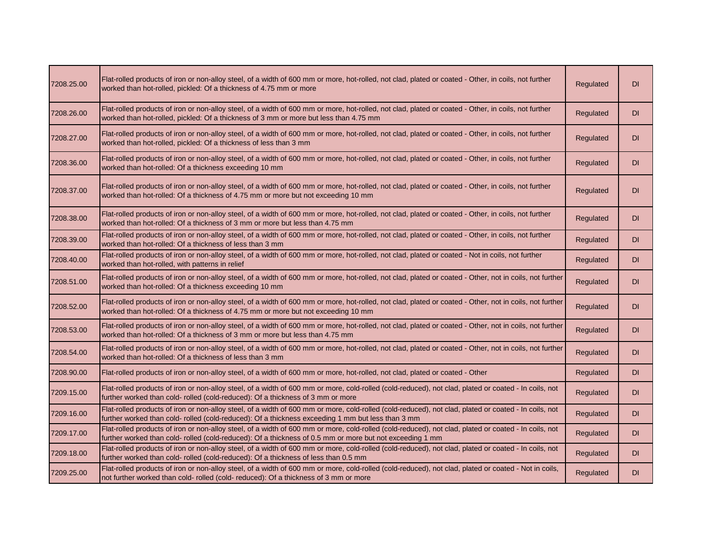| 7208.25.00 | Flat-rolled products of iron or non-alloy steel, of a width of 600 mm or more, hot-rolled, not clad, plated or coated - Other, in coils, not further<br>worked than hot-rolled, pickled: Of a thickness of 4.75 mm or more                                        | Regulated | DI        |
|------------|-------------------------------------------------------------------------------------------------------------------------------------------------------------------------------------------------------------------------------------------------------------------|-----------|-----------|
| 7208.26.00 | Flat-rolled products of iron or non-alloy steel, of a width of 600 mm or more, hot-rolled, not clad, plated or coated - Other, in coils, not further<br>worked than hot-rolled, pickled: Of a thickness of 3 mm or more but less than 4.75 mm                     | Regulated | <b>DI</b> |
| 7208.27.00 | Flat-rolled products of iron or non-alloy steel, of a width of 600 mm or more, hot-rolled, not clad, plated or coated - Other, in coils, not further<br>worked than hot-rolled, pickled: Of a thickness of less than 3 mm                                         | Regulated | DI        |
| 7208.36.00 | Flat-rolled products of iron or non-alloy steel, of a width of 600 mm or more, hot-rolled, not clad, plated or coated - Other, in coils, not further<br>worked than hot-rolled: Of a thickness exceeding 10 mm                                                    | Regulated | DI        |
| 7208.37.00 | Flat-rolled products of iron or non-alloy steel, of a width of 600 mm or more, hot-rolled, not clad, plated or coated - Other, in coils, not further<br>worked than hot-rolled: Of a thickness of 4.75 mm or more but not exceeding 10 mm                         | Regulated | DI        |
| 7208.38.00 | Flat-rolled products of iron or non-alloy steel, of a width of 600 mm or more, hot-rolled, not clad, plated or coated - Other, in coils, not further<br>worked than hot-rolled: Of a thickness of 3 mm or more but less than 4.75 mm                              | Regulated | DI        |
| 7208.39.00 | Flat-rolled products of iron or non-alloy steel, of a width of 600 mm or more, hot-rolled, not clad, plated or coated - Other, in coils, not further<br>worked than hot-rolled: Of a thickness of less than 3 mm                                                  | Regulated | DI        |
| 7208.40.00 | Flat-rolled products of iron or non-alloy steel, of a width of 600 mm or more, hot-rolled, not clad, plated or coated - Not in coils, not further<br>worked than hot-rolled, with patterns in relief                                                              | Regulated | <b>DI</b> |
| 7208.51.00 | Flat-rolled products of iron or non-alloy steel, of a width of 600 mm or more, hot-rolled, not clad, plated or coated - Other, not in coils, not further<br>worked than hot-rolled: Of a thickness exceeding 10 mm                                                | Regulated | DI        |
| 7208.52.00 | Flat-rolled products of iron or non-alloy steel, of a width of 600 mm or more, hot-rolled, not clad, plated or coated - Other, not in coils, not further<br>worked than hot-rolled: Of a thickness of 4.75 mm or more but not exceeding 10 mm                     | Regulated | DI        |
| 7208.53.00 | Flat-rolled products of iron or non-alloy steel, of a width of 600 mm or more, hot-rolled, not clad, plated or coated - Other, not in coils, not further<br>worked than hot-rolled: Of a thickness of 3 mm or more but less than 4.75 mm                          | Regulated | DI        |
| 7208.54.00 | Flat-rolled products of iron or non-alloy steel, of a width of 600 mm or more, hot-rolled, not clad, plated or coated - Other, not in coils, not further<br>worked than hot-rolled: Of a thickness of less than 3 mm                                              | Regulated | <b>DI</b> |
| 7208.90.00 | Flat-rolled products of iron or non-alloy steel, of a width of 600 mm or more, hot-rolled, not clad, plated or coated - Other                                                                                                                                     | Regulated | <b>DI</b> |
| 7209.15.00 | Flat-rolled products of iron or non-alloy steel, of a width of 600 mm or more, cold-rolled (cold-reduced), not clad, plated or coated - In coils, not<br>further worked than cold- rolled (cold-reduced): Of a thickness of 3 mm or more                          | Regulated | DI        |
| 7209.16.00 | Flat-rolled products of iron or non-alloy steel, of a width of 600 mm or more, cold-rolled (cold-reduced), not clad, plated or coated - In coils, not<br>further worked than cold- rolled (cold-reduced): Of a thickness exceeding 1 mm but less than 3 mm        | Regulated | DI        |
| 7209.17.00 | Flat-rolled products of iron or non-alloy steel, of a width of 600 mm or more, cold-rolled (cold-reduced), not clad, plated or coated - In coils, not<br>further worked than cold- rolled (cold-reduced): Of a thickness of 0.5 mm or more but not exceeding 1 mm | Regulated | DI        |
| 7209.18.00 | Flat-rolled products of iron or non-alloy steel, of a width of 600 mm or more, cold-rolled (cold-reduced), not clad, plated or coated - In coils, not<br>further worked than cold- rolled (cold-reduced): Of a thickness of less than 0.5 mm                      | Regulated | <b>DI</b> |
| 7209.25.00 | Flat-rolled products of iron or non-alloy steel, of a width of 600 mm or more, cold-rolled (cold-reduced), not clad, plated or coated - Not in coils,<br>not further worked than cold- rolled (cold- reduced): Of a thickness of 3 mm or more                     | Regulated | DI        |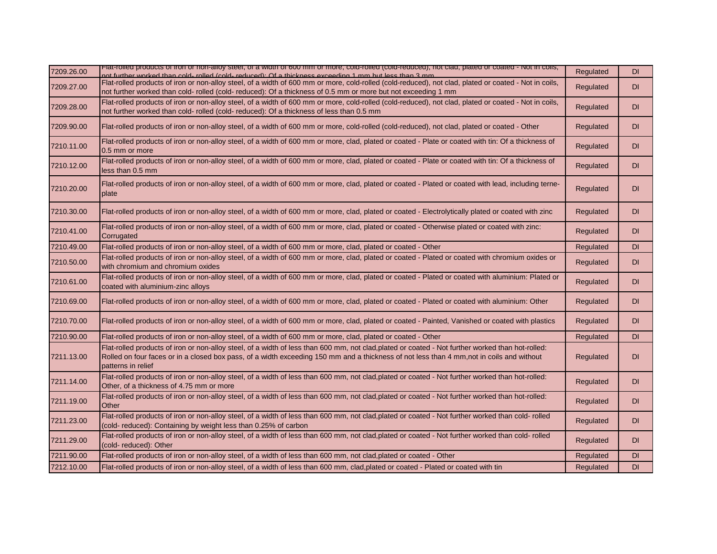| 7209.26.00 | Flat-folled products of fron or non-alloy steel, or a width or out mim or more, cold-folled (cold-reduced), not clad, plated or coated - Not in colls,<br>of further worked than cold- rolled (cold- reduced): Of a thickness exceeding 1 mm but less than 3 mm                                                    | Regulated | <b>DI</b> |
|------------|--------------------------------------------------------------------------------------------------------------------------------------------------------------------------------------------------------------------------------------------------------------------------------------------------------------------|-----------|-----------|
| 7209.27.00 | Flat-rolled products of iron or non-alloy steel, of a width of 600 mm or more, cold-rolled (cold-reduced), not clad, plated or coated - Not in coils,<br>not further worked than cold- rolled (cold- reduced): Of a thickness of 0.5 mm or more but not exceeding 1 mm                                             | Regulated | DI        |
| 7209.28.00 | Flat-rolled products of iron or non-alloy steel, of a width of 600 mm or more, cold-rolled (cold-reduced), not clad, plated or coated - Not in coils,<br>not further worked than cold- rolled (cold- reduced): Of a thickness of less than 0.5 mm                                                                  | Regulated | DI        |
| 7209.90.00 | Flat-rolled products of iron or non-alloy steel, of a width of 600 mm or more, cold-rolled (cold-reduced), not clad, plated or coated - Other                                                                                                                                                                      | Regulated | DI        |
| 7210.11.00 | Flat-rolled products of iron or non-alloy steel, of a width of 600 mm or more, clad, plated or coated - Plate or coated with tin: Of a thickness of<br>0.5 mm or more                                                                                                                                              | Regulated | <b>DI</b> |
| 7210.12.00 | Flat-rolled products of iron or non-alloy steel, of a width of 600 mm or more, clad, plated or coated - Plate or coated with tin: Of a thickness of<br>less than 0.5 mm                                                                                                                                            | Regulated | DI        |
| 7210.20.00 | Flat-rolled products of iron or non-alloy steel, of a width of 600 mm or more, clad, plated or coated - Plated or coated with lead, including terne-<br>plate                                                                                                                                                      | Regulated | DI        |
| 7210.30.00 | Flat-rolled products of iron or non-alloy steel, of a width of 600 mm or more, clad, plated or coated - Electrolytically plated or coated with zinc                                                                                                                                                                | Regulated | DI        |
| 7210.41.00 | Flat-rolled products of iron or non-alloy steel, of a width of 600 mm or more, clad, plated or coated - Otherwise plated or coated with zinc:<br>Corrugated                                                                                                                                                        | Regulated | DI        |
| 7210.49.00 | Flat-rolled products of iron or non-alloy steel, of a width of 600 mm or more, clad, plated or coated - Other                                                                                                                                                                                                      | Regulated | DI        |
| 7210.50.00 | Flat-rolled products of iron or non-alloy steel, of a width of 600 mm or more, clad, plated or coated - Plated or coated with chromium oxides or<br>with chromium and chromium oxides                                                                                                                              | Regulated | DI        |
| 7210.61.00 | Flat-rolled products of iron or non-alloy steel, of a width of 600 mm or more, clad, plated or coated - Plated or coated with aluminium: Plated or<br>coated with aluminium-zinc alloys                                                                                                                            | Regulated | <b>DI</b> |
| 7210.69.00 | Flat-rolled products of iron or non-alloy steel, of a width of 600 mm or more, clad, plated or coated - Plated or coated with aluminium: Other                                                                                                                                                                     | Regulated | <b>DI</b> |
| 7210.70.00 | Flat-rolled products of iron or non-alloy steel, of a width of 600 mm or more, clad, plated or coated - Painted, Vanished or coated with plastics                                                                                                                                                                  | Regulated | DI        |
| 7210.90.00 | Flat-rolled products of iron or non-alloy steel, of a width of 600 mm or more, clad, plated or coated - Other                                                                                                                                                                                                      | Regulated | DI        |
| 7211.13.00 | Flat-rolled products of iron or non-alloy steel, of a width of less than 600 mm, not clad,plated or coated - Not further worked than hot-rolled:<br>Rolled on four faces or in a closed box pass, of a width exceeding 150 mm and a thickness of not less than 4 mm,not in coils and without<br>patterns in relief | Regulated | DI        |
| 7211.14.00 | Flat-rolled products of iron or non-alloy steel, of a width of less than 600 mm, not clad,plated or coated - Not further worked than hot-rolled:<br>Other, of a thickness of 4.75 mm or more                                                                                                                       | Regulated | DI        |
| 7211.19.00 | Flat-rolled products of iron or non-alloy steel, of a width of less than 600 mm, not clad, plated or coated - Not further worked than hot-rolled:<br>Other                                                                                                                                                         | Regulated | DI        |
| 7211.23.00 | Flat-rolled products of iron or non-alloy steel, of a width of less than 600 mm, not clad,plated or coated - Not further worked than cold- rolled<br>(cold-reduced): Containing by weight less than 0.25% of carbon                                                                                                | Regulated | <b>DI</b> |
| 7211.29.00 | Flat-rolled products of iron or non-alloy steel, of a width of less than 600 mm, not clad,plated or coated - Not further worked than cold- rolled<br>(cold-reduced): Other                                                                                                                                         | Regulated | DI        |
| 7211.90.00 | Flat-rolled products of iron or non-alloy steel, of a width of less than 600 mm, not clad, plated or coated - Other                                                                                                                                                                                                | Regulated | DI        |
| 7212.10.00 | Flat-rolled products of iron or non-alloy steel, of a width of less than 600 mm, clad, plated or coated - Plated or coated with tin                                                                                                                                                                                | Regulated | <b>DI</b> |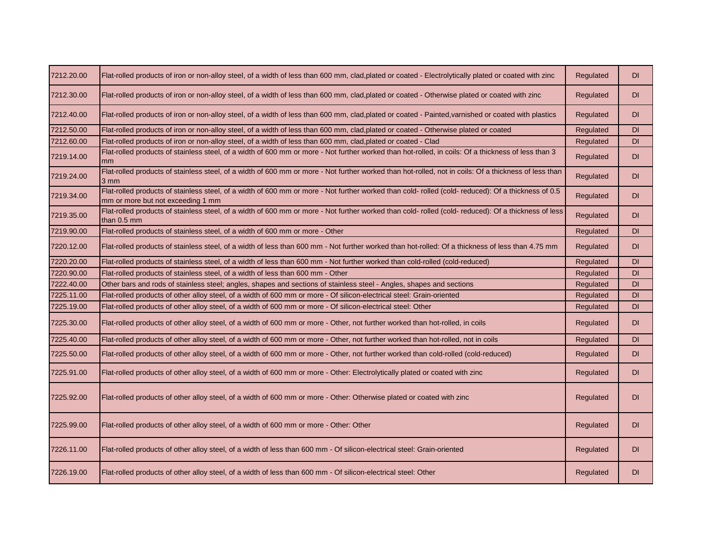| 7212.20.00 | Flat-rolled products of iron or non-alloy steel, of a width of less than 600 mm, clad, plated or coated - Electrolytically plated or coated with zinc                                    | Regulated | DI        |
|------------|------------------------------------------------------------------------------------------------------------------------------------------------------------------------------------------|-----------|-----------|
| 7212.30.00 | Flat-rolled products of iron or non-alloy steel, of a width of less than 600 mm, clad,plated or coated - Otherwise plated or coated with zinc                                            | Regulated | <b>DI</b> |
| 7212.40.00 | Flat-rolled products of iron or non-alloy steel, of a width of less than 600 mm, clad,plated or coated - Painted,varnished or coated with plastics                                       | Regulated | DI        |
| 7212.50.00 | Flat-rolled products of iron or non-alloy steel, of a width of less than 600 mm, clad,plated or coated - Otherwise plated or coated                                                      | Regulated | <b>DI</b> |
| 7212.60.00 | Flat-rolled products of iron or non-alloy steel, of a width of less than 600 mm, clad, plated or coated - Clad                                                                           | Regulated | DI        |
| 7219.14.00 | Flat-rolled products of stainless steel, of a width of 600 mm or more - Not further worked than hot-rolled, in coils: Of a thickness of less than 3<br>mm                                | Regulated | DI        |
| 7219.24.00 | Flat-rolled products of stainless steel, of a width of 600 mm or more - Not further worked than hot-rolled, not in coils: Of a thickness of less than<br>3 mm                            | Regulated | DI        |
| 7219.34.00 | Flat-rolled products of stainless steel, of a width of 600 mm or more - Not further worked than cold- rolled (cold- reduced): Of a thickness of 0.5<br>mm or more but not exceeding 1 mm | Regulated | DI        |
| 7219.35.00 | Flat-rolled products of stainless steel, of a width of 600 mm or more - Not further worked than cold- rolled (cold- reduced): Of a thickness of less<br>than 0.5 mm                      | Regulated | DI        |
| 7219.90.00 | Flat-rolled products of stainless steel, of a width of 600 mm or more - Other                                                                                                            | Regulated | DI        |
| 7220.12.00 | Flat-rolled products of stainless steel, of a width of less than 600 mm - Not further worked than hot-rolled: Of a thickness of less than 4.75 mm                                        | Regulated | DI        |
| 7220.20.00 | Flat-rolled products of stainless steel, of a width of less than 600 mm - Not further worked than cold-rolled (cold-reduced)                                                             | Regulated | DI        |
| 7220.90.00 | Flat-rolled products of stainless steel, of a width of less than 600 mm - Other                                                                                                          | Regulated | DI        |
| 7222.40.00 | Other bars and rods of stainless steel; angles, shapes and sections of stainless steel - Angles, shapes and sections                                                                     | Regulated | DI        |
| 7225.11.00 | Flat-rolled products of other alloy steel, of a width of 600 mm or more - Of silicon-electrical steel: Grain-oriented                                                                    | Regulated | <b>DI</b> |
| 7225.19.00 | Flat-rolled products of other alloy steel, of a width of 600 mm or more - Of silicon-electrical steel: Other                                                                             | Regulated | DI        |
| 7225.30.00 | Flat-rolled products of other alloy steel, of a width of 600 mm or more - Other, not further worked than hot-rolled, in coils                                                            | Regulated | DI        |
| 7225.40.00 | Flat-rolled products of other alloy steel, of a width of 600 mm or more - Other, not further worked than hot-rolled, not in coils                                                        | Regulated | DI        |
| 7225.50.00 | Flat-rolled products of other alloy steel, of a width of 600 mm or more - Other, not further worked than cold-rolled (cold-reduced)                                                      | Regulated | DI        |
| 7225.91.00 | Flat-rolled products of other alloy steel, of a width of 600 mm or more - Other: Electrolytically plated or coated with zinc                                                             | Regulated | <b>DI</b> |
| 7225.92.00 | Flat-rolled products of other alloy steel, of a width of 600 mm or more - Other: Otherwise plated or coated with zinc                                                                    | Regulated | <b>DI</b> |
| 7225.99.00 | Flat-rolled products of other alloy steel, of a width of 600 mm or more - Other: Other                                                                                                   | Regulated | <b>DI</b> |
| 7226.11.00 | Flat-rolled products of other alloy steel, of a width of less than 600 mm - Of silicon-electrical steel: Grain-oriented                                                                  | Regulated | <b>DI</b> |
| 7226.19.00 | Flat-rolled products of other alloy steel, of a width of less than 600 mm - Of silicon-electrical steel: Other                                                                           | Regulated | <b>DI</b> |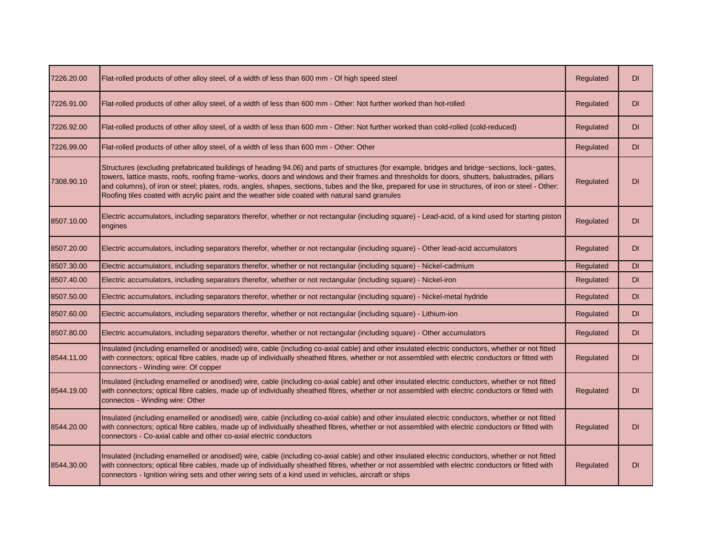| 7226.20.00 | Flat-rolled products of other alloy steel, of a width of less than 600 mm - Of high speed steel                                                                                                                                                                                                                                                                                                                                                                                                                                                             | Regulated | <b>DI</b> |
|------------|-------------------------------------------------------------------------------------------------------------------------------------------------------------------------------------------------------------------------------------------------------------------------------------------------------------------------------------------------------------------------------------------------------------------------------------------------------------------------------------------------------------------------------------------------------------|-----------|-----------|
| 7226.91.00 | Flat-rolled products of other alloy steel, of a width of less than 600 mm - Other: Not further worked than hot-rolled                                                                                                                                                                                                                                                                                                                                                                                                                                       | Regulated | <b>DI</b> |
| 7226.92.00 | Flat-rolled products of other alloy steel, of a width of less than 600 mm - Other: Not further worked than cold-rolled (cold-reduced)                                                                                                                                                                                                                                                                                                                                                                                                                       | Regulated | <b>DI</b> |
| 7226.99.00 | Flat-rolled products of other alloy steel, of a width of less than 600 mm - Other: Other                                                                                                                                                                                                                                                                                                                                                                                                                                                                    | Regulated | <b>DI</b> |
| 7308.90.10 | Structures (excluding prefabricated buildings of heading 94.06) and parts of structures (for example, bridges and bridge-sections, lock-gates,<br>towers, lattice masts, roofs, roofing frame-works, doors and windows and their frames and thresholds for doors, shutters, balustrades, pillars<br>and columns), of iron or steel; plates, rods, angles, shapes, sections, tubes and the like, prepared for use in structures, of iron or steel - Other:<br>Roofing tiles coated with acrylic paint and the weather side coated with natural sand granules | Regulated | <b>DI</b> |
| 8507.10.00 | Electric accumulators, including separators therefor, whether or not rectangular (including square) - Lead-acid, of a kind used for starting piston<br>engines                                                                                                                                                                                                                                                                                                                                                                                              | Regulated | DI        |
| 8507.20.00 | Electric accumulators, including separators therefor, whether or not rectangular (including square) - Other lead-acid accumulators                                                                                                                                                                                                                                                                                                                                                                                                                          | Regulated | <b>DI</b> |
| 8507.30.00 | Electric accumulators, including separators therefor, whether or not rectangular (including square) - Nickel-cadmium                                                                                                                                                                                                                                                                                                                                                                                                                                        | Regulated | <b>DI</b> |
| 8507.40.00 | Electric accumulators, including separators therefor, whether or not rectangular (including square) - Nickel-iron                                                                                                                                                                                                                                                                                                                                                                                                                                           | Regulated | <b>DI</b> |
| 8507.50.00 | Electric accumulators, including separators therefor, whether or not rectangular (including square) - Nickel-metal hydride                                                                                                                                                                                                                                                                                                                                                                                                                                  | Regulated | <b>DI</b> |
| 8507.60.00 | Electric accumulators, including separators therefor, whether or not rectangular (including square) - Lithium-ion                                                                                                                                                                                                                                                                                                                                                                                                                                           | Regulated | <b>DI</b> |
| 8507.80.00 | Electric accumulators, including separators therefor, whether or not rectangular (including square) - Other accumulators                                                                                                                                                                                                                                                                                                                                                                                                                                    | Regulated | <b>DI</b> |
| 8544.11.00 | Insulated (including enamelled or anodised) wire, cable (including co-axial cable) and other insulated electric conductors, whether or not fitted<br>with connectors; optical fibre cables, made up of individually sheathed fibres, whether or not assembled with electric conductors or fitted with<br>connectors - Winding wire: Of copper                                                                                                                                                                                                               | Regulated | <b>DI</b> |
| 8544.19.00 | Insulated (including enamelled or anodised) wire, cable (including co-axial cable) and other insulated electric conductors, whether or not fitted<br>with connectors; optical fibre cables, made up of individually sheathed fibres, whether or not assembled with electric conductors or fitted with<br>connectos - Winding wire: Other                                                                                                                                                                                                                    | Regulated | <b>DI</b> |
| 8544.20.00 | Insulated (including enamelled or anodised) wire, cable (including co-axial cable) and other insulated electric conductors, whether or not fitted<br>with connectors; optical fibre cables, made up of individually sheathed fibres, whether or not assembled with electric conductors or fitted with<br>connectors - Co-axial cable and other co-axial electric conductors                                                                                                                                                                                 | Regulated | <b>DI</b> |
| 8544.30.00 | Insulated (including enamelled or anodised) wire, cable (including co-axial cable) and other insulated electric conductors, whether or not fitted<br>with connectors; optical fibre cables, made up of individually sheathed fibres, whether or not assembled with electric conductors or fitted with<br>connectors - Ignition wiring sets and other wiring sets of a kind used in vehicles, aircraft or ships                                                                                                                                              | Regulated | <b>DI</b> |